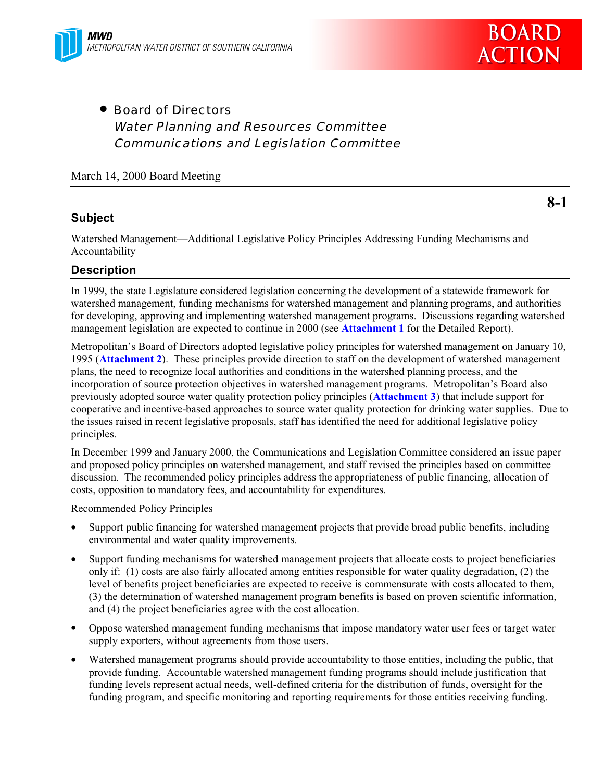

• Board of Directors Water Planning and Resources Committee Communications and Legislation Committee

### March 14, 2000 Board Meeting

### **Subject**

Watershed Management—Additional Legislative Policy Principles Addressing Funding Mechanisms and Accountability

#### **Description**

In 1999, the state Legislature considered legislation concerning the development of a statewide framework for watershed management, funding mechanisms for watershed management and planning programs, and authorities for developing, approving and implementing watershed management programs. Discussions regarding watershed management legislation are expected to continue in 2000 (see **Attachment 1** for the Detailed Report).

Metropolitan's Board of Directors adopted legislative policy principles for watershed management on January 10, 1995 (**Attachment 2**). These principles provide direction to staff on the development of watershed management plans, the need to recognize local authorities and conditions in the watershed planning process, and the incorporation of source protection objectives in watershed management programs. Metropolitan's Board also previously adopted source water quality protection policy principles (**Attachment 3**) that include support for cooperative and incentive-based approaches to source water quality protection for drinking water supplies. Due to the issues raised in recent legislative proposals, staff has identified the need for additional legislative policy principles.

In December 1999 and January 2000, the Communications and Legislation Committee considered an issue paper and proposed policy principles on watershed management, and staff revised the principles based on committee discussion. The recommended policy principles address the appropriateness of public financing, allocation of costs, opposition to mandatory fees, and accountability for expenditures.

#### Recommended Policy Principles

- Support public financing for watershed management projects that provide broad public benefits, including environmental and water quality improvements.
- Support funding mechanisms for watershed management projects that allocate costs to project beneficiaries only if: (1) costs are also fairly allocated among entities responsible for water quality degradation, (2) the level of benefits project beneficiaries are expected to receive is commensurate with costs allocated to them, (3) the determination of watershed management program benefits is based on proven scientific information, and (4) the project beneficiaries agree with the cost allocation.
- Oppose watershed management funding mechanisms that impose mandatory water user fees or target water supply exporters, without agreements from those users.
- Watershed management programs should provide accountability to those entities, including the public, that provide funding. Accountable watershed management funding programs should include justification that funding levels represent actual needs, well-defined criteria for the distribution of funds, oversight for the funding program, and specific monitoring and reporting requirements for those entities receiving funding.

**8-1**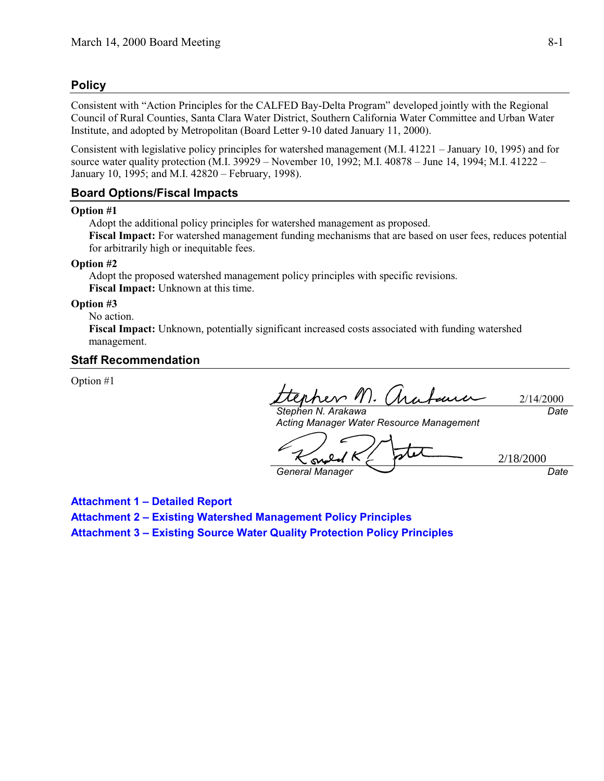## **Policy**

Consistent with "Action Principles for the CALFED Bay-Delta Program" developed jointly with the Regional Council of Rural Counties, Santa Clara Water District, Southern California Water Committee and Urban Water Institute, and adopted by Metropolitan (Board Letter 9-10 dated January 11, 2000).

Consistent with legislative policy principles for watershed management (M.I. 41221 – January 10, 1995) and for source water quality protection (M.I. 39929 – November 10, 1992; M.I. 40878 – June 14, 1994; M.I. 41222 – January 10, 1995; and M.I. 42820 – February, 1998).

## **Board Options/Fiscal Impacts**

#### **Option #1**

Adopt the additional policy principles for watershed management as proposed.

**Fiscal Impact:** For watershed management funding mechanisms that are based on user fees, reduces potential for arbitrarily high or inequitable fees.

#### **Option #2**

Adopt the proposed watershed management policy principles with specific revisions. **Fiscal Impact:** Unknown at this time.

#### **Option #3**

No action.

**Fiscal Impact:** Unknown, potentially significant increased costs associated with funding watershed management.

#### **Staff Recommendation**

Option #1

2/14/2000 *Date*

*Stephen N. Arakawa Acting Manager Water Resource Management*

*General Manager Date* 2/18/2000

**Attachment 1 – Detailed Report Attachment 2 – Existing Watershed Management Policy Principles Attachment 3 – Existing Source Water Quality Protection Policy Principles**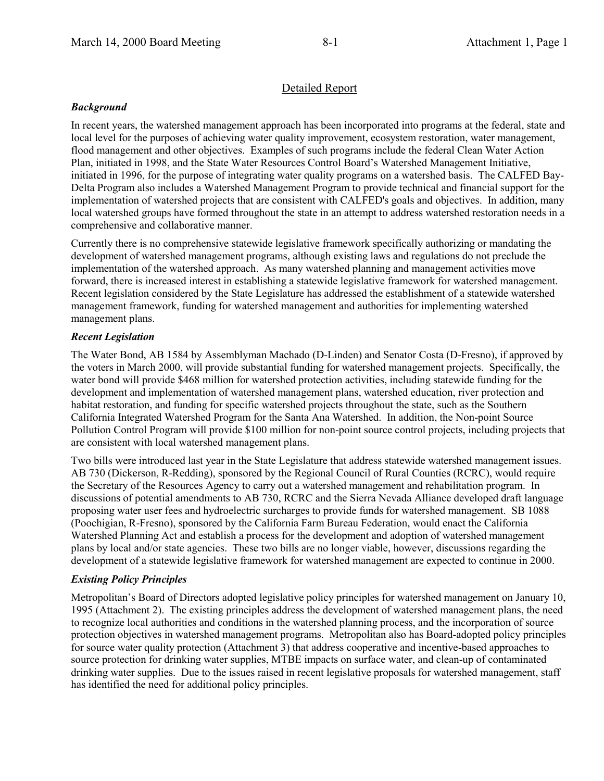## Detailed Report

#### *Background*

In recent years, the watershed management approach has been incorporated into programs at the federal, state and local level for the purposes of achieving water quality improvement, ecosystem restoration, water management, flood management and other objectives. Examples of such programs include the federal Clean Water Action Plan, initiated in 1998, and the State Water Resources Control Board's Watershed Management Initiative, initiated in 1996, for the purpose of integrating water quality programs on a watershed basis. The CALFED Bay-Delta Program also includes a Watershed Management Program to provide technical and financial support for the implementation of watershed projects that are consistent with CALFED's goals and objectives. In addition, many local watershed groups have formed throughout the state in an attempt to address watershed restoration needs in a comprehensive and collaborative manner.

Currently there is no comprehensive statewide legislative framework specifically authorizing or mandating the development of watershed management programs, although existing laws and regulations do not preclude the implementation of the watershed approach. As many watershed planning and management activities move forward, there is increased interest in establishing a statewide legislative framework for watershed management. Recent legislation considered by the State Legislature has addressed the establishment of a statewide watershed management framework, funding for watershed management and authorities for implementing watershed management plans.

#### *Recent Legislation*

The Water Bond, AB 1584 by Assemblyman Machado (D-Linden) and Senator Costa (D-Fresno), if approved by the voters in March 2000, will provide substantial funding for watershed management projects. Specifically, the water bond will provide \$468 million for watershed protection activities, including statewide funding for the development and implementation of watershed management plans, watershed education, river protection and habitat restoration, and funding for specific watershed projects throughout the state, such as the Southern California Integrated Watershed Program for the Santa Ana Watershed. In addition, the Non-point Source Pollution Control Program will provide \$100 million for non-point source control projects, including projects that are consistent with local watershed management plans.

Two bills were introduced last year in the State Legislature that address statewide watershed management issues. AB 730 (Dickerson, R-Redding), sponsored by the Regional Council of Rural Counties (RCRC), would require the Secretary of the Resources Agency to carry out a watershed management and rehabilitation program. In discussions of potential amendments to AB 730, RCRC and the Sierra Nevada Alliance developed draft language proposing water user fees and hydroelectric surcharges to provide funds for watershed management. SB 1088 (Poochigian, R-Fresno), sponsored by the California Farm Bureau Federation, would enact the California Watershed Planning Act and establish a process for the development and adoption of watershed management plans by local and/or state agencies. These two bills are no longer viable, however, discussions regarding the development of a statewide legislative framework for watershed management are expected to continue in 2000.

### *Existing Policy Principles*

Metropolitan's Board of Directors adopted legislative policy principles for watershed management on January 10, 1995 (Attachment 2). The existing principles address the development of watershed management plans, the need to recognize local authorities and conditions in the watershed planning process, and the incorporation of source protection objectives in watershed management programs. Metropolitan also has Board-adopted policy principles for source water quality protection (Attachment 3) that address cooperative and incentive-based approaches to source protection for drinking water supplies, MTBE impacts on surface water, and clean-up of contaminated drinking water supplies. Due to the issues raised in recent legislative proposals for watershed management, staff has identified the need for additional policy principles.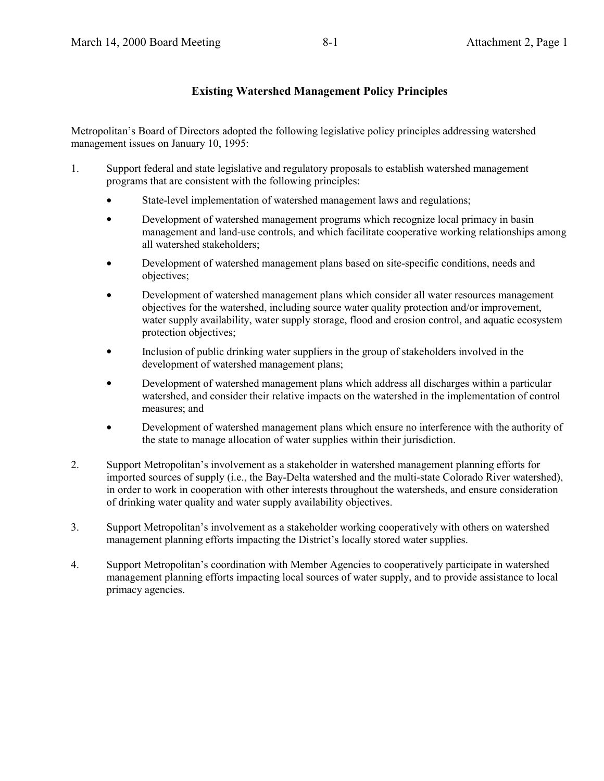## **Existing Watershed Management Policy Principles**

Metropolitan's Board of Directors adopted the following legislative policy principles addressing watershed management issues on January 10, 1995:

- 1. Support federal and state legislative and regulatory proposals to establish watershed management programs that are consistent with the following principles:
	- State-level implementation of watershed management laws and regulations;
	- Development of watershed management programs which recognize local primacy in basin management and land-use controls, and which facilitate cooperative working relationships among all watershed stakeholders;
	- Development of watershed management plans based on site-specific conditions, needs and objectives;
	- Development of watershed management plans which consider all water resources management objectives for the watershed, including source water quality protection and/or improvement, water supply availability, water supply storage, flood and erosion control, and aquatic ecosystem protection objectives;
	- Inclusion of public drinking water suppliers in the group of stakeholders involved in the development of watershed management plans;
	- Development of watershed management plans which address all discharges within a particular watershed, and consider their relative impacts on the watershed in the implementation of control measures; and
	- Development of watershed management plans which ensure no interference with the authority of the state to manage allocation of water supplies within their jurisdiction.
- 2. Support Metropolitan's involvement as a stakeholder in watershed management planning efforts for imported sources of supply (i.e., the Bay-Delta watershed and the multi-state Colorado River watershed), in order to work in cooperation with other interests throughout the watersheds, and ensure consideration of drinking water quality and water supply availability objectives.
- 3. Support Metropolitan's involvement as a stakeholder working cooperatively with others on watershed management planning efforts impacting the District's locally stored water supplies.
- 4. Support Metropolitan's coordination with Member Agencies to cooperatively participate in watershed management planning efforts impacting local sources of water supply, and to provide assistance to local primacy agencies.